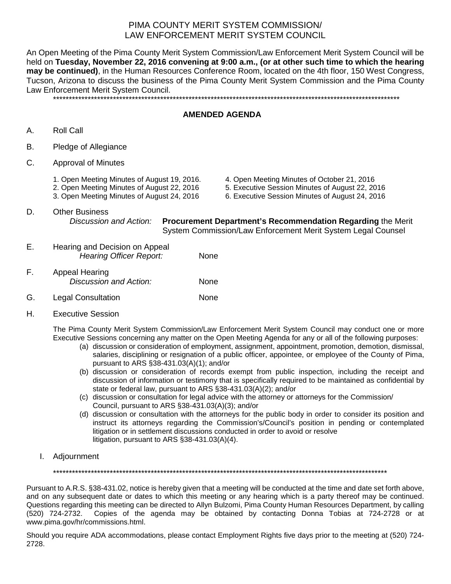## PIMA COUNTY MERIT SYSTEM COMMISSION/ LAW ENFORCEMENT MERIT SYSTEM COUNCIL

An Open Meeting of the Pima County Merit System Commission/Law Enforcement Merit System Council will be held on **Tuesday, November 22, 2016 convening at 9:00 a.m., (or at other such time to which the hearing may be continued)**, in the Human Resources Conference Room, located on the 4th floor, 150 West Congress, Tucson, Arizona to discuss the business of the Pima County Merit System Commission and the Pima County Law Enforcement Merit System Council. \*\*\*\*\*\*\*\*\*\*\*\*\*\*\*\*\*\*\*\*\*\*\*\*\*\*\*\*\*\*\*\*\*\*\*\*\*\*\*\*\*\*\*\*\*\*\*\*\*\*\*\*\*\*\*\*\*\*\*\*\*\*\*\*\*\*\*\*\*\*\*\*\*\*\*\*\*\*\*\*\*\*\*\*\*\*\*\*\*\*\*\*\*\*\*\*\*\*\*\*\*\*\*\*\*\*\*\*\*\*

## **AMENDED AGENDA**

- A. Roll Call
- B. Pledge of Allegiance
- C. Approval of Minutes
	-
	-
	-
	- 1. Open Meeting Minutes of August 19, 2016. <br>
	2. Open Meeting Minutes of August 22, 2016 <br>
	2. Executive Session Minutes of August 22, 2016 <br>
	2. Executive Session Minutes of August 22, 20
		- 5. Executive Session Minutes of August 22, 2016
	- 3. Open Meeting Minutes of August 24, 2016 6. Executive Session Minutes of August 24, 2016
- D. Other Business<br>Discussion and Action:

**Procurement Department's Recommendation Regarding the Merit <b>Procurement** System Commission/Law Enforcement Merit System Legal Counsel

- E. Hearing and Decision on Appeal *Hearing Officer Report:* None
- F. Appeal Hearing *Discussion and Action:* None
- G. Legal Consultation **None**
- H. Executive Session

The Pima County Merit System Commission/Law Enforcement Merit System Council may conduct one or more Executive Sessions concerning any matter on the Open Meeting Agenda for any or all of the following purposes:

- (a) discussion or consideration of employment, assignment, appointment, promotion, demotion, dismissal, salaries, disciplining or resignation of a public officer, appointee, or employee of the County of Pima, pursuant to ARS §38-431.03(A)(1); and/or
- (b) discussion or consideration of records exempt from public inspection, including the receipt and discussion of information or testimony that is specifically required to be maintained as confidential by state or federal law, pursuant to ARS §38-431.03(A)(2); and/or
- (c) discussion or consultation for legal advice with the attorney or attorneys for the Commission/ Council, pursuant to ARS §38-431.03(A)(3); and/or
- (d) discussion or consultation with the attorneys for the public body in order to consider its position and instruct its attorneys regarding the Commission's/Council's position in pending or contemplated litigation or in settlement discussions conducted in order to avoid or resolve litigation, pursuant to ARS §38-431.03(A)(4).
- I. Adjournment

\*\*\*\*\*\*\*\*\*\*\*\*\*\*\*\*\*\*\*\*\*\*\*\*\*\*\*\*\*\*\*\*\*\*\*\*\*\*\*\*\*\*\*\*\*\*\*\*\*\*\*\*\*\*\*\*\*\*\*\*\*\*\*\*\*\*\*\*\*\*\*\*\*\*\*\*\*\*\*\*\*\*\*\*\*\*\*\*\*\*\*\*\*\*\*\*\*\*\*\*\*\*\*\*\*\*

Pursuant to A.R.S. §38-431.02, notice is hereby given that a meeting will be conducted at the time and date set forth above, and on any subsequent date or dates to which this meeting or any hearing which is a party thereof may be continued. Questions regarding this meeting can be directed to Allyn Bulzomi, Pima County Human Resources Department, by calling (520) 724-2732. Copies of the agenda may be obtained by contacting Donna Tobias at 724-2728 or at www.pima.gov/hr/commissions.html.

Should you require ADA accommodations, please contact Employment Rights five days prior to the meeting at (520) 724- 2728.